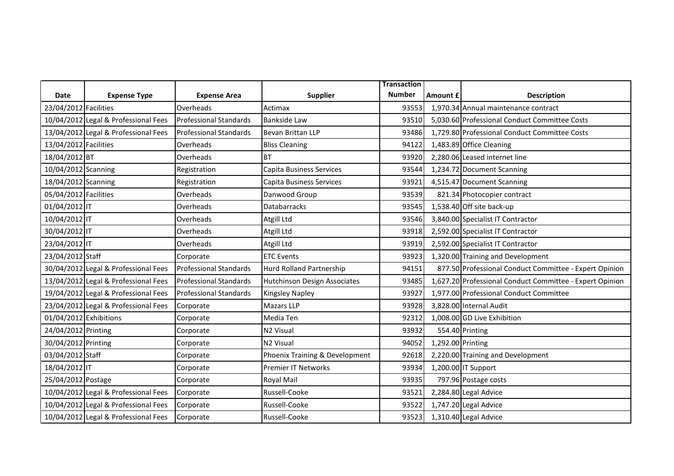|                        |                                      |                               |                                | <b>Transaction</b> |                   |                                                          |
|------------------------|--------------------------------------|-------------------------------|--------------------------------|--------------------|-------------------|----------------------------------------------------------|
| Date                   | <b>Expense Type</b>                  | <b>Expense Area</b>           | <b>Supplier</b>                | <b>Number</b>      | Amount £          | <b>Description</b>                                       |
| 23/04/2012 Facilities  |                                      | Overheads                     | Actimax                        | 93553              |                   | 1,970.34 Annual maintenance contract                     |
|                        | 10/04/2012 Legal & Professional Fees | <b>Professional Standards</b> | <b>Bankside Law</b>            | 93510              |                   | 5,030.60 Professional Conduct Committee Costs            |
|                        | 13/04/2012 Legal & Professional Fees | <b>Professional Standards</b> | Bevan Brittan LLP              | 93486              |                   | 1,729.80 Professional Conduct Committee Costs            |
| 13/04/2012 Facilities  |                                      | Overheads                     | <b>Bliss Cleaning</b>          | 94122              |                   | 1,483.89 Office Cleaning                                 |
| 18/04/2012 BT          |                                      | Overheads                     | <b>BT</b>                      | 93920              |                   | 2,280.06 Leased internet line                            |
| 10/04/2012 Scanning    |                                      | Registration                  | Capita Business Services       | 93544              |                   | 1,234.72 Document Scanning                               |
| 18/04/2012 Scanning    |                                      | Registration                  | Capita Business Services       | 93921              |                   | 4,515.47 Document Scanning                               |
| 05/04/2012 Facilities  |                                      | Overheads                     | Danwood Group                  | 93539              |                   | 821.34 Photocopier contract                              |
| 01/04/2012 IT          |                                      | Overheads                     | Databarracks                   | 93545              |                   | 1,538.40 Off site back-up                                |
| 10/04/2012 IT          |                                      | Overheads                     | Atgill Ltd                     | 93546              |                   | 3,840.00 Specialist IT Contractor                        |
| 30/04/2012 IT          |                                      | Overheads                     | Atgill Ltd                     | 93918              |                   | 2,592.00 Specialist IT Contractor                        |
| 23/04/2012 IT          |                                      | Overheads                     | Atgill Ltd                     | 93919              |                   | 2,592.00 Specialist IT Contractor                        |
| 23/04/2012 Staff       |                                      | Corporate                     | <b>ETC Events</b>              | 93923              |                   | 1,320.00 Training and Development                        |
|                        | 30/04/2012 Legal & Professional Fees | <b>Professional Standards</b> | Hurd Rolland Partnership       | 94151              |                   | 877.50 Professional Conduct Committee - Expert Opinion   |
|                        | 13/04/2012 Legal & Professional Fees | <b>Professional Standards</b> | Hutchinson Design Associates   | 93485              |                   | 1,627.20 Professional Conduct Committee - Expert Opinion |
|                        | 19/04/2012 Legal & Professional Fees | Professional Standards        | <b>Kingsley Napley</b>         | 93927              |                   | 1,977.00 Professional Conduct Committee                  |
|                        | 23/04/2012 Legal & Professional Fees | Corporate                     | <b>Mazars LLP</b>              | 93928              |                   | 3,828.00 Internal Audit                                  |
| 01/04/2012 Exhibitions |                                      | Corporate                     | Media Ten                      | 92312              |                   | 1,008.00 GD Live Exhibition                              |
| 24/04/2012 Printing    |                                      | Corporate                     | N <sub>2</sub> Visual          | 93932              |                   | 554.40 Printing                                          |
| 30/04/2012 Printing    |                                      | Corporate                     | N2 Visual                      | 94052              | 1,292.00 Printing |                                                          |
| 03/04/2012 Staff       |                                      | Corporate                     | Phoenix Training & Development | 92618              |                   | 2,220.00 Training and Development                        |
| 18/04/2012 IT          |                                      | Corporate                     | <b>Premier IT Networks</b>     | 93934              |                   | 1,200.00 IT Support                                      |
| 25/04/2012 Postage     |                                      | Corporate                     | Royal Mail                     | 93935              |                   | 797.96 Postage costs                                     |
|                        | 10/04/2012 Legal & Professional Fees | Corporate                     | Russell-Cooke                  | 93521              |                   | 2,284.80 Legal Advice                                    |
|                        | 10/04/2012 Legal & Professional Fees | Corporate                     | Russell-Cooke                  | 93522              |                   | 1,747.20 Legal Advice                                    |
|                        | 10/04/2012 Legal & Professional Fees | Corporate                     | Russell-Cooke                  | 93523              |                   | 1,310.40 Legal Advice                                    |